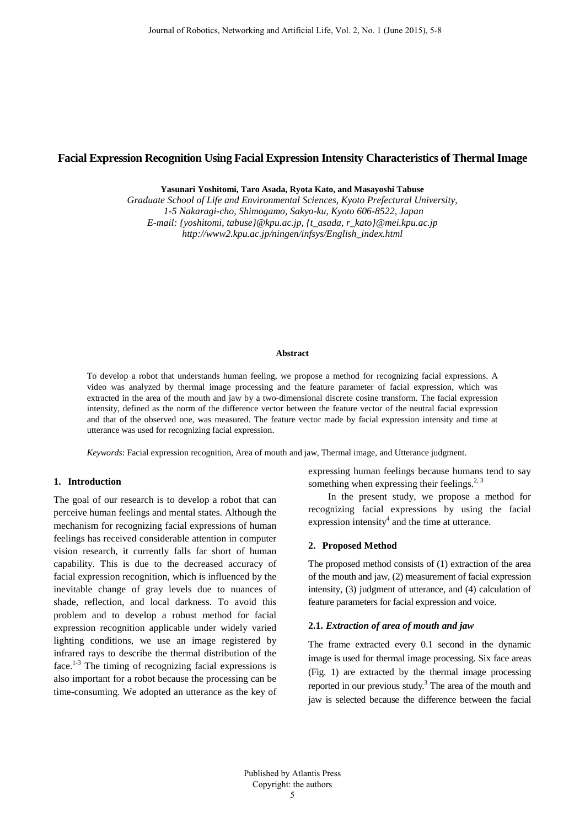# **Facial Expression Recognition Using Facial Expression Intensity Characteristics of Thermal Image**

**Yasunari Yoshitomi, Taro Asada, Ryota Kato, and Masayoshi Tabuse**

*Graduate School of Life and Environmental Sciences, Kyoto Prefectural University, 1-5 Nakaragi-cho, Shimogamo, Sakyo-ku, Kyoto 606-8522, Japan E-mail: {yoshitomi, tabuse}@kpu.ac.jp, {t\_asada, r\_kato}@mei.kpu.ac.jp http://www2.kpu.ac.jp/ningen/infsys/English\_index.html*

### **Abstract**

To develop a robot that understands human feeling, we propose a method for recognizing facial expressions. A video was analyzed by thermal image processing and the feature parameter of facial expression, which was extracted in the area of the mouth and jaw by a two-dimensional discrete cosine transform. The facial expression intensity, defined as the norm of the difference vector between the feature vector of the neutral facial expression and that of the observed one, was measured. The feature vector made by facial expression intensity and time at utterance was used for recognizing facial expression.

*Keywords*: Facial expression recognition, Area of mouth and jaw, Thermal image, and Utterance judgment.

# **1. Introduction**

The goal of our research is to develop a robot that can perceive human feelings and mental states. Although the mechanism for recognizing facial expressions of human feelings has received considerable attention in computer vision research, it currently falls far short of human capability. This is due to the decreased accuracy of facial expression recognition, which is influenced by the inevitable change of gray levels due to nuances of shade, reflection, and local darkness. To avoid this problem and to develop a robust method for facial expression recognition applicable under widely varied lighting conditions, we use an image registered by infrared rays to describe the thermal distribution of the face.<sup>1-3</sup> The timing of recognizing facial expressions is also important for a robot because the processing can be time-consuming. We adopted an utterance as the key of

expressing human feelings because humans tend to say something when expressing their feelings. $^{2,3}$ 

In the present study, we propose a method for recognizing facial expressions by using the facial expression intensity $4$  and the time at utterance.

#### **2. Proposed Method**

The proposed method consists of (1) extraction of the area of the mouth and jaw, (2) measurement of facial expression intensity, (3) judgment of utterance, and (4) calculation of feature parameters for facial expression and voice.

#### **2.1.** *Extraction of area of mouth and jaw*

The frame extracted every 0.1 second in the dynamic image is used for thermal image processing. Six face areas (Fig. 1) are extracted by the thermal image processing reported in our previous study.<sup>3</sup> The area of the mouth and jaw is selected because the difference between the facial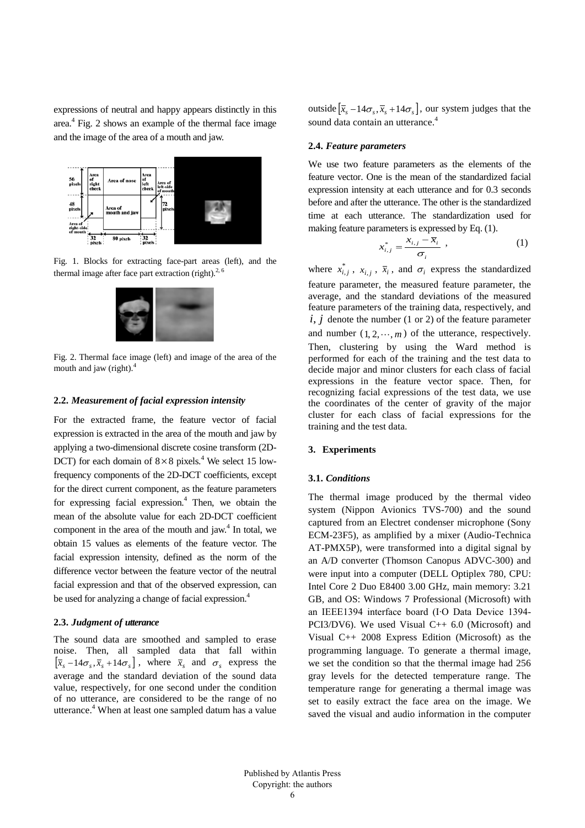expressions of neutral and happy appears distinctly in this area.4 Fig. 2 shows an example of the thermal face image and the image of the area of a mouth and jaw.



Fig. 1. Blocks for extracting face-part areas (left), and the thermal image after face part extraction (right). $2,6$ 



Fig. 2. Thermal face image (left) and image of the area of the mouth and jaw (right). $4$ 

# **2.2.** *Measurement of facial expression intensity*

For the extracted frame, the feature vector of facial expression is extracted in the area of the mouth and jaw by applying a two-dimensional discrete cosine transform (2D-DCT) for each domain of  $8 \times 8$  pixels.<sup>4</sup> We select 15 lowfrequency components of the 2D-DCT coefficients, except for the direct current component, as the feature parameters for expressing facial expression. $4$  Then, we obtain the mean of the absolute value for each 2D-DCT coefficient component in the area of the mouth and jaw. $4$  In total, we obtain 15 values as elements of the feature vector. The facial expression intensity, defined as the norm of the difference vector between the feature vector of the neutral facial expression and that of the observed expression, can be used for analyzing a change of facial expression.<sup>4</sup>

## **2.3.** *Judgment of utterance*

The sound data are smoothed and sampled to erase noise. Then, all sampled data that fall within  $\left[ \overline{x}_{s}-14\sigma_{s},\overline{x}_{s}+14\sigma_{s}\right]$ , where  $\overline{x}_{s}$  and  $\sigma_{s}$  express the average and the standard deviation of the sound data value, respectively, for one second under the condition of no utterance, are considered to be the range of no utterance.<sup>4</sup> When at least one sampled datum has a value outside  $[\bar{x}_s - 14\sigma_s, \bar{x}_s + 14\sigma_s]$ , our system judges that the sound data contain an utterance.<sup>4</sup>

#### **2.4.** *Feature parameters*

We use two feature parameters as the elements of the feature vector. One is the mean of the standardized facial expression intensity at each utterance and for 0.3 seconds before and after the utterance. The other is the standardized time at each utterance. The standardization used for making feature parameters is expressed by Eq. (1).

$$
x_{i,j}^* = \frac{x_{i,j} - \overline{x}_i}{\sigma_i} \tag{1}
$$

where  $x_{i,j}^*$ ,  $x_{i,j}$ ,  $\overline{x}_i$ , and  $\sigma_i$  express the standardized feature parameter, the measured feature parameter, the average, and the standard deviations of the measured feature parameters of the training data, respectively, and  $i, j$  denote the number (1 or 2) of the feature parameter and number  $(1, 2, \dots, m)$  of the utterance, respectively. Then, clustering by using the Ward method is performed for each of the training and the test data to decide major and minor clusters for each class of facial expressions in the feature vector space. Then, for recognizing facial expressions of the test data, we use the coordinates of the center of gravity of the major cluster for each class of facial expressions for the training and the test data.

# **3. Experiments**

# **3.1.** *Conditions*

The thermal image produced by the thermal video system (Nippon Avionics TVS-700) and the sound captured from an Electret condenser microphone (Sony ECM-23F5), as amplified by a mixer (Audio-Technica AT-PMX5P), were transformed into a digital signal by an A/D converter (Thomson Canopus ADVC-300) and were input into a computer (DELL Optiplex 780, CPU: Intel Core 2 Duo E8400 3.00 GHz, main memory: 3.21 GB, and OS: Windows 7 Professional (Microsoft) with an IEEE1394 interface board (I∙O Data Device 1394- PCI3/DV6). We used Visual C++ 6.0 (Microsoft) and Visual C++ 2008 Express Edition (Microsoft) as the programming language. To generate a thermal image, we set the condition so that the thermal image had 256 gray levels for the detected temperature range. The temperature range for generating a thermal image was set to easily extract the face area on the image. We saved the visual and audio information in the computer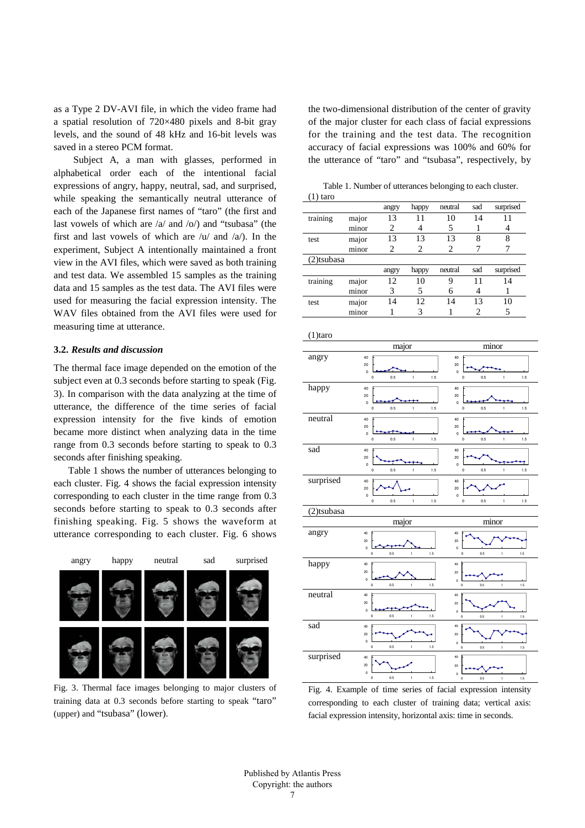as a Type 2 DV-AVI file, in which the video frame had a spatial resolution of 720×480 pixels and 8-bit gray levels, and the sound of 48 kHz and 16-bit levels was saved in a stereo PCM format.

Subject A, a man with glasses, performed in alphabetical order each of the intentional facial expressions of angry, happy, neutral, sad, and surprised, while speaking the semantically neutral utterance of each of the Japanese first names of "taro" (the first and last vowels of which are  $\langle a \rangle$  and  $\langle o \rangle$  and "tsubasa" (the first and last vowels of which are  $\langle u \rangle$  and  $\langle a \rangle$ . In the experiment, Subject A intentionally maintained a front view in the AVI files, which were saved as both training and test data. We assembled 15 samples as the training data and 15 samples as the test data. The AVI files were used for measuring the facial expression intensity. The WAV files obtained from the AVI files were used for measuring time at utterance.

# **3.2.** *Results and discussion*

The thermal face image depended on the emotion of the subject even at 0.3 seconds before starting to speak (Fig. 3). In comparison with the data analyzing at the time of utterance, the difference of the time series of facial expression intensity for the five kinds of emotion became more distinct when analyzing data in the time range from 0.3 seconds before starting to speak to 0.3 seconds after finishing speaking.

Table 1 shows the number of utterances belonging to each cluster. Fig. 4 shows the facial expression intensity corresponding to each cluster in the time range from 0.3 seconds before starting to speak to 0.3 seconds after finishing speaking. Fig. 5 shows the waveform at utterance corresponding to each cluster. Fig. 6 shows



Fig. 3. Thermal face images belonging to major clusters of training data at 0.3 seconds before starting to speak "taro" (upper) and "tsubasa" (lower).

the two-dimensional distribution of the center of gravity of the major cluster for each class of facial expressions for the training and the test data. The recognition accuracy of facial expressions was 100% and 60% for the utterance of "taro" and "tsubasa", respectively, by

Table 1. Number of utterances belonging to each cluster.

| 1) taro    |       |       |       |         |     |           |
|------------|-------|-------|-------|---------|-----|-----------|
|            |       | angry | happy | neutral | sad | surprised |
| training   | major | 13    | 11    | 10      | 14  | 11        |
|            | minor | 2     |       | 5       |     |           |
| test       | major | 13    | 13    | 13      | 8   | 8         |
|            | minor | 2     | 2     | 2       |     |           |
| (2)tsubasa |       |       |       |         |     |           |
|            |       | angry | happy | neutral | sad | surprised |
| training   | major | 12    | 10    | 9       | 11  | 14        |
|            | minor | 3     | 5     | 6       |     |           |
| test       | major | 14    | 12    | 14      | 13  | 10        |
|            | minor |       | 3     |         | 2   | 5         |

| $(1)$ taro |                                                                      |                                                                        |  |  |  |
|------------|----------------------------------------------------------------------|------------------------------------------------------------------------|--|--|--|
|            | major                                                                | minor                                                                  |  |  |  |
| angry      | 40<br>20<br>$\mathbf 0$<br>1.5<br>0.5<br>0<br>$\mathbb{1}$           | 40<br>20<br>$\mathbf 0$<br>0.5<br>1.5<br>0<br>$\mathbb{1}$             |  |  |  |
| happy      | 40<br>20<br>$\mathbf 0$<br>0.5<br>1.5<br>$\mathbf{1}$<br>0           | 40<br>20<br>$\mathbf 0$<br>0.5<br>1.5<br>o<br>$\mathbf{1}$             |  |  |  |
| neutral    | 40<br>20<br>$\mathbf 0$<br>0.5<br>1.5<br>$\mathbf 0$<br>$\mathbf{1}$ | 40<br>20<br>$\mathbf 0$<br>0.5<br>1.5<br>0<br>$\,$ 1 $\,$              |  |  |  |
| sad        | 40<br>20<br>$\mathbf 0$<br>0.5<br>1.5<br>0<br>1                      | 40<br>20<br>$\mathbf 0$<br>0.5<br>1.5<br>1<br>0                        |  |  |  |
| surprised  | 40<br>20<br>$\mathbf 0$<br>1.5<br>0.5<br>$\mathbf{1}$<br>$\mathbf 0$ | 40<br>20<br>$\mathbf 0$<br>1.5<br>0.5<br>$\mathbf 0$<br>$\mathbbm{1}$  |  |  |  |
|            |                                                                      |                                                                        |  |  |  |
| (2)tsubasa |                                                                      |                                                                        |  |  |  |
| angry      | major<br>40<br>20<br>$\mathbf 0$<br>1.5<br>0.5<br>$\mathbf{1}$<br>o  | minor<br>40<br>20<br>$\mathbf 0$<br>0.5<br>1<br>1.5<br>0               |  |  |  |
| happy      | 40<br>20<br>$\bf{0}$<br>1.5<br>o<br>0.5<br>$\mathbf{I}$              | 40<br>20<br>$\bf{0}$<br>$\bf{0}$<br>0.5<br>1<br>1.5                    |  |  |  |
| neutral    | 40<br>20<br>$\mathbf 0$<br>0.5<br>1.5<br>o<br>$\mathbf{1}$           | 40<br>20<br>$\bf{0}$<br>0.5<br>$1.5\,$<br>0<br>1                       |  |  |  |
| sad        | 40<br>20<br>$\mathbf 0$<br>$\mathbf 0$<br>0.5<br>1.5<br>$\mathbf{1}$ | 40<br>20<br>$\mathbf 0$<br>$\pmb{0}$<br>0.5<br>$\mathbf{1}$<br>$1.5\,$ |  |  |  |

Fig. 4. Example of time series of facial expression intensity corresponding to each cluster of training data; vertical axis: facial expression intensity, horizontal axis: time in seconds.